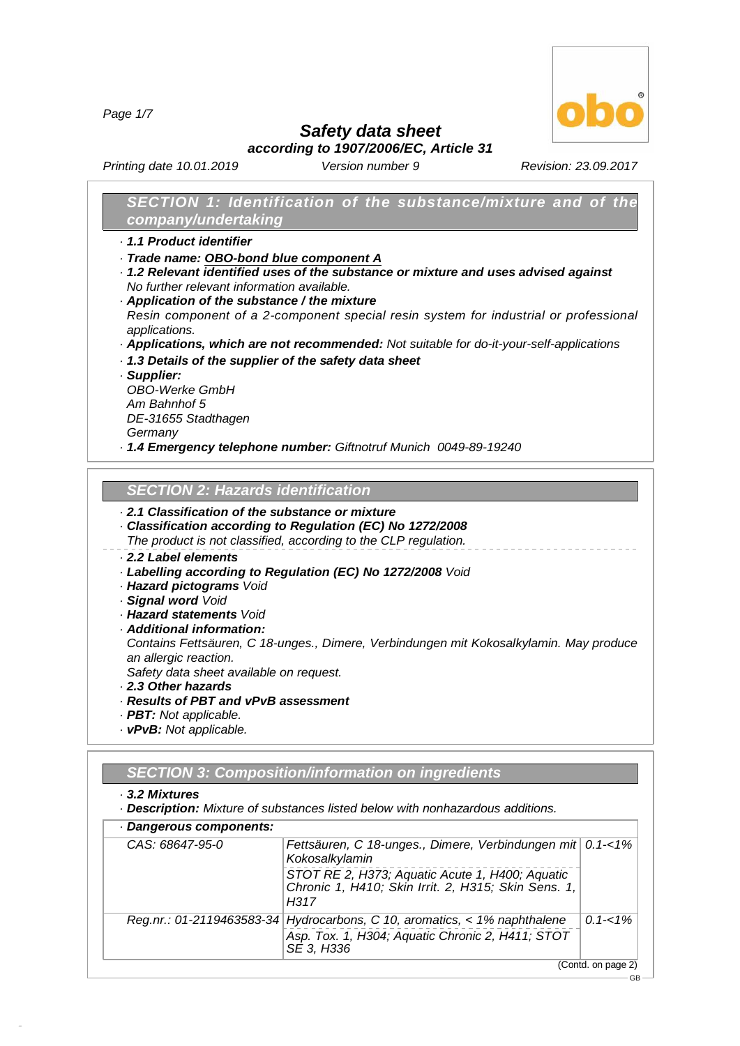*Page 1/7*



GB

*Safety data sheet*

*according to 1907/2006/EC, Article 31*

*Printing date 10.01.2019 Version number 9 Revision: 23.09.2017*

# *SECTION 1: Identification of the substance/mixture and of the company/undertaking*

- *· 1.1 Product identifier*
- *· Trade name: OBO-bond blue component A*
- *· 1.2 Relevant identified uses of the substance or mixture and uses advised against No further relevant information available.*
- *· Application of the substance / the mixture Resin component of a 2-component special resin system for industrial or professional applications.*
- *· Applications, which are not recommended: Not suitable for do-it-your-self-applications*
- *· 1.3 Details of the supplier of the safety data sheet*
- *· Supplier:*

*OBO-Werke GmbH Am Bahnhof 5 DE-31655 Stadthagen Germany*

*· 1.4 Emergency telephone number: Giftnotruf Munich 0049-89-19240*

## *SECTION 2:Hazards identification*

# *· 2.1 Classification of the substance or mixture*

- *· Classification according to Regulation (EC) No 1272/2008*
- *The product is not classified, according to the CLP regulation.*

# *· 2.2 Label elements*

- *· Labelling according to Regulation (EC) No 1272/2008 Void*
- *· Hazard pictograms Void*
- *· Signal word Void*
- *· Hazard statements Void*
- *· Additional information:*

*Contains Fettsäuren, C 18-unges., Dimere, Verbindungen mit Kokosalkylamin. May produce an allergic reaction.*

*Safety data sheet available on request.*

- *· 2.3 Other hazards*
- *· Results of PBT and vPvB assessment*
- *· PBT: Not applicable.*
- *· vPvB: Not applicable.*

# *SECTION 3:Composition/information on ingredients*

#### *· 3.2 Mixtures*

48.0.6

*· Description: Mixture of substances listed below with nonhazardous additions.*

| CAS: 68647-95-0 | Fettsäuren, C 18-unges., Dimere, Verbindungen mit 0.1-<1%<br>Kokosalkylamin                                                                 |             |
|-----------------|---------------------------------------------------------------------------------------------------------------------------------------------|-------------|
|                 | STOT RE 2, H373; Aquatic Acute 1, H400; Aquatic<br>Chronic 1, H410; Skin Irrit. 2, H315; Skin Sens. 1,<br>H317                              |             |
|                 | Reg.nr.: 01-2119463583-34 Hydrocarbons, C 10, aromatics, < 1% naphthalene<br>Asp. Tox. 1, H304; Aquatic Chronic 2, H411; STOT<br>SE 3, H336 | $0.1 - 1\%$ |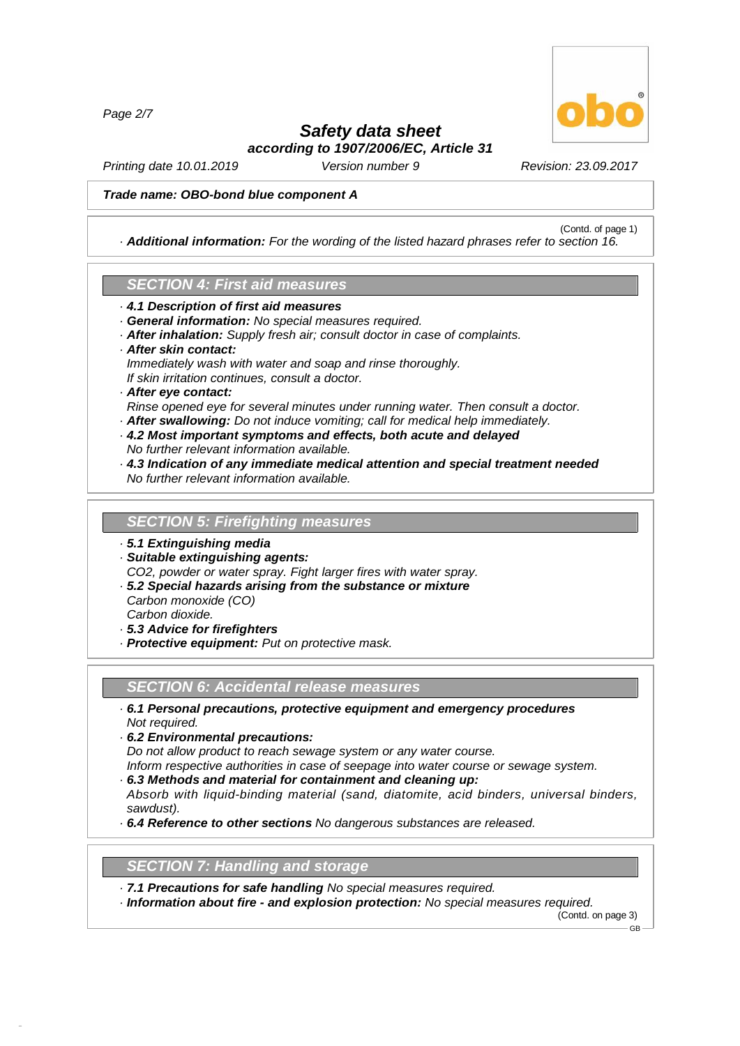*Page 2/7*



(Contd. of page 1)

# *Safety data sheet according to 1907/2006/EC, Article 31*

*Printing date 10.01.2019 Version number 9 Revision: 23.09.2017*

#### *Trade name: OBO-bond blue component A*

*· Additional information: For the wording of the listed hazard phrases refer to section 16.*

## *SECTION 4:First aid measures*

- *· 4.1 Description of first aid measures*
- *· General information: No special measures required.*
- *· After inhalation: Supply fresh air; consult doctor in case of complaints.*
- *· After skin contact:*
- *Immediately wash with water and soap and rinse thoroughly.*
- *If skin irritation continues, consult a doctor.*

### *· After eye contact:*

- *Rinse opened eye for several minutes under running water. Then consult a doctor.*
- *· After swallowing: Do not induce vomiting; call for medical help immediately.*
- *· 4.2 Most important symptoms and effects, both acute and delayed No further relevant information available.*
- *· 4.3 Indication of any immediate medical attention and special treatment needed No further relevant information available.*

#### **SECTION 5: Firefighting measures**

- *· 5.1 Extinguishing media*
- *· Suitable extinguishing agents:*

*CO2, powder or water spray. Fight larger fires with water spray.*

- *· 5.2 Special hazards arising from the substance or mixture*
- *Carbon monoxide (CO) Carbon dioxide.*

48.0.6

- *· 5.3 Advice for firefighters*
- *· Protective equipment: Put on protective mask.*

#### *SECTION 6:Accidental release measures*

- *· 6.1 Personal precautions, protective equipment and emergency procedures Not required.*
- *· 6.2 Environmental precautions:*

*Do not allow product to reach sewage system or any water course.*

- *Inform respective authorities in case of seepage into water course or sewage system.*
- *· 6.3 Methods and material for containment and cleaning up:*
- *Absorb with liquid-binding material (sand, diatomite, acid binders, universal binders, sawdust).*
- *· 6.4 Reference to other sections No dangerous substances are released.*

### **SECTION 7: Handling and storage**

- *· 7.1 Precautions for safe handling No special measures required.*
- *· Information about fire - and explosion protection: No special measures required.*

(Contd. on page 3) GB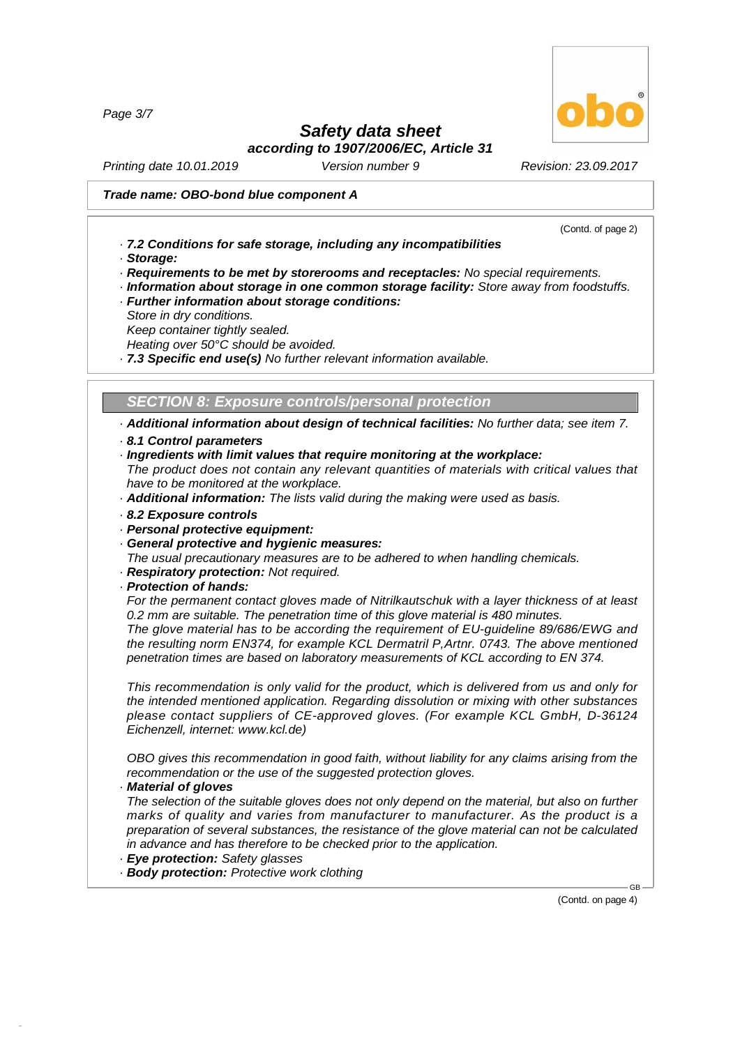*Page 3/7*

# *Safety data sheet*

*according to 1907/2006/EC, Article 31*

*Printing date 10.01.2019 Version number 9 Revision: 23.09.2017*

#### *Trade name: OBO-bond blue component A*

(Contd. of page 2)

- *· 7.2 Conditions for safe storage, including any incompatibilities*
- *· Storage:*
- *· Requirements to be met by storerooms and receptacles: No special requirements.*
- *· Information about storage in one common storage facility: Store away from foodstuffs.*
- *· Further information about storage conditions:*
- *Store in dry conditions.*
- *Keep container tightly sealed.*

*Heating over 50°C should be avoided.*

*· 7.3 Specific end use(s) No further relevant information available.*

*SECTION 8:Exposure controls/personal protection*

*· Additional information about design of technical facilities: No further data; see item 7. · 8.1 Control parameters*

- 
- *· Ingredients with limit values that require monitoring at the workplace:*

*The product does not contain any relevant quantities of materials with critical values that have to be monitored at the workplace.*

- *· Additional information: The lists valid during the making were used as basis.*
- *· 8.2 Exposure controls*
- *· Personal protective equipment:*
- *· General protective and hygienic measures:*
- *The usual precautionary measures are to be adhered to when handling chemicals.*
- *· Respiratory protection: Not required.*
- *· Protection of hands:*

*For the permanent contact gloves made of Nitrilkautschuk with a layer thickness of at least 0.2 mm are suitable. The penetration time of this glove material is 480 minutes.*

*The glove material has to be according the requirement of EU-guideline 89/686/EWG and the resulting norm EN374, for example KCL Dermatril P,Artnr. 0743. The above mentioned penetration times are based on laboratory measurements of KCL according to EN 374.*

*This recommendation is only valid for the product, which is delivered from us and only for the intended mentioned application. Regarding dissolution or mixing with other substances please contact suppliers of CE-approved gloves. (For example KCL GmbH, D-36124 Eichenzell, internet: [www.kcl.de\)](��)*

*OBO gives this recommendation in good faith, without liability for any claims arising from the recommendation or the use of the suggested protection gloves.*

*· Material of gloves*

48.0.6

*The selection of the suitable gloves does not only depend on the material, but also on further marks of quality and varies from manufacturer to manufacturer. As the product is a preparation of several substances, the resistance of the glove material can not be calculated in advance and has therefore to be checked prior to the application.*

- *· Eye protection: Safety glasses*
- *· Body protection: Protective work clothing*

(Contd. on page 4)

GB

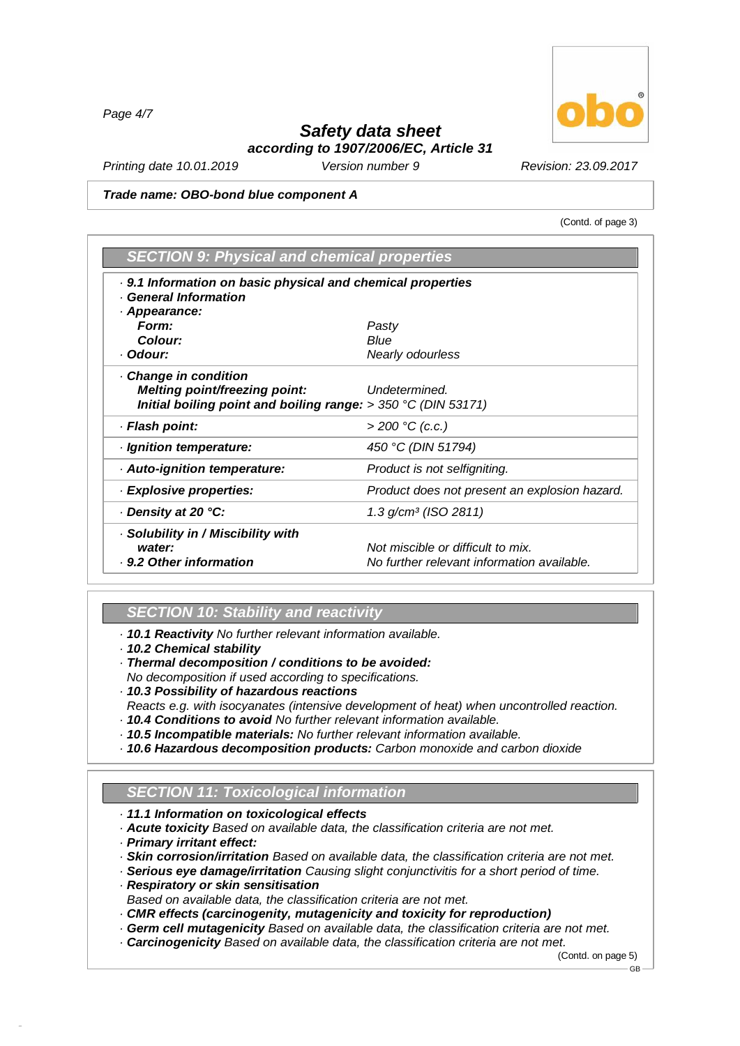*Page 4/7*

# *Safety data sheet according to 1907/2006/EC, Article 31*

*Printing date 10.01.2019 Version number 9 Revision: 23.09.2017*

#### *Trade name: OBO-bond blue component A*

(Contd. of page 3)

| <b>SECTION 9: Physical and chemical properties</b>              |                                               |
|-----------------------------------------------------------------|-----------------------------------------------|
| . 9.1 Information on basic physical and chemical properties     |                                               |
| <b>General Information</b>                                      |                                               |
| Appearance:                                                     |                                               |
| Form:                                                           | Pasty                                         |
| Colour:                                                         | Blue                                          |
| · Odour:                                                        | <b>Nearly odourless</b>                       |
| Change in condition                                             |                                               |
| Melting point/freezing point:                                   | Undetermined.                                 |
| Initial boiling point and boiling range: $> 350 °C$ (DIN 53171) |                                               |
| · Flash point:                                                  | $>$ 200 °C (c.c.)                             |
| · Ignition temperature:                                         | 450 °C (DIN 51794)                            |
| · Auto-ignition temperature:                                    | Product is not selfigniting.                  |
| · Explosive properties:                                         | Product does not present an explosion hazard. |
| Density at 20 °C:                                               | $1.3$ g/cm <sup>3</sup> (ISO 2811)            |
| Solubility in / Miscibility with                                |                                               |
| water:                                                          | Not miscible or difficult to mix.             |
| . 9.2 Other information                                         | No further relevant information available.    |

# *SECTION 10: Stability and reactivity*

*· 10.1 Reactivity No further relevant information available.*

- *· 10.2 Chemical stability*
- *· Thermal decomposition / conditions to be avoided:*
- *No decomposition if used according to specifications.*
- *· 10.3 Possibility of hazardous reactions*
- *Reacts e.g. with isocyanates (intensive development of heat) when uncontrolled reaction. · 10.4 Conditions to avoid No further relevant information available.*
- *· 10.5 Incompatible materials: No further relevant information available.*
- *· 10.6 Hazardous decomposition products: Carbon monoxide and carbon dioxide*

# *SECTION 11: Toxicological information*

- *· 11.1 Information on toxicological effects*
- *· Acute toxicity Based on available data, the classification criteria are not met.*
- *· Primary irritant effect:*

48.0.6

- *· Skin corrosion/irritation Based on available data, the classification criteria are not met.*
- *· Serious eye damage/irritation Causing slight conjunctivitis for a short period of time.*
- *· Respiratory or skin sensitisation*
- *Based on available data, the classification criteria are not met.*
- *· CMR effects (carcinogenity, mutagenicity and toxicity for reproduction)*
- *· Germ cellmutagenicity Based on available data, the classification criteria are not met.*
- *· Carcinogenicity Based on available data, the classification criteria are not met.*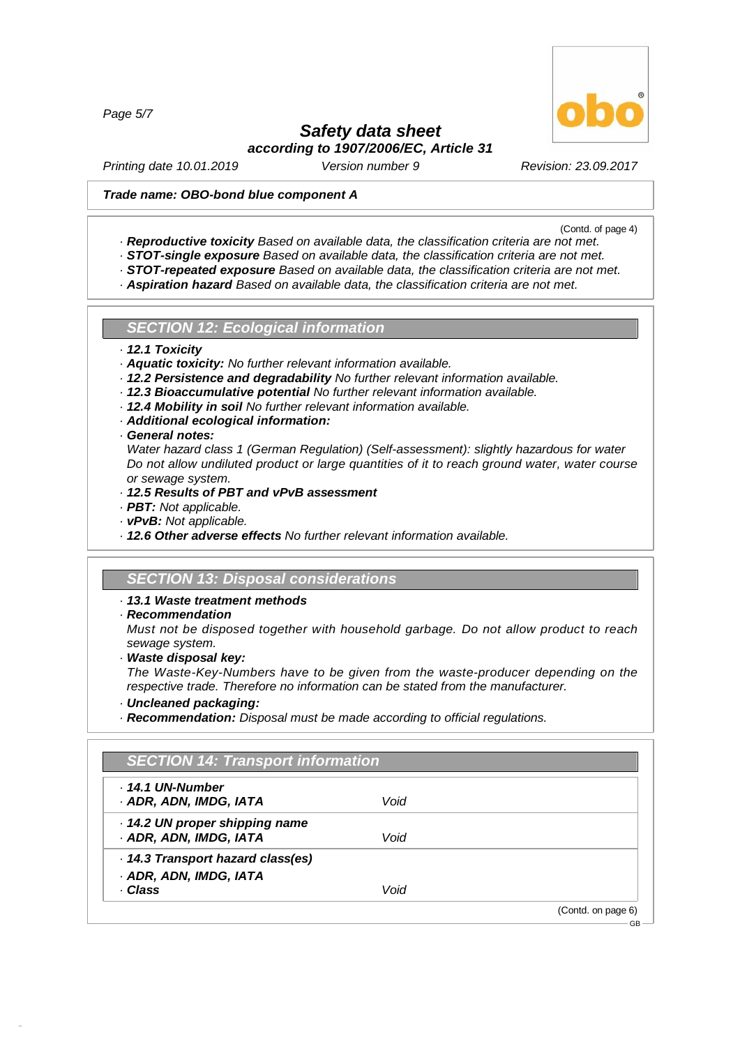*Page 5/7*

# *Safety data sheet*

*according to 1907/2006/EC, Article 31*

*Printing date 10.01.2019 Version number 9 Revision: 23.09.2017*

## *Trade name: OBO-bond blue component A*

(Contd. of page 4)

- *· Reproductive toxicity Based on available data, the classification criteria are not met.*
- *· STOT-single exposure Based on available data, the classification criteria are not met.*
- *· STOT-repeated exposure Based on available data, the classification criteria are not met.*
- *· Aspiration hazard Based on available data, the classification criteria are not met.*

*SECTION 12: Ecological information*

- *· 12.1 Toxicity*
- *· Aquatic toxicity: No further relevant information available.*
- *· 12.2 Persistence and degradability No further relevant information available.*
- *· 12.3 Bioaccumulative potential No further relevant information available.*
- *· 12.4 Mobility in soil No further relevant information available.*
- *· Additional ecological information:*
- *· General notes:*
- *Water hazard class 1 (German Regulation) (Self-assessment): slightly hazardous for water Do not allow undiluted product or large quantities of it to reach ground water, water course or sewage system.*
- *· 12.5 Results of PBT and vPvB assessment*
- *· PBT: Not applicable.*
- *· vPvB: Not applicable.*
- *· 12.6 Other adverse effects No further relevant information available.*

# *SECTION 13: Disposal considerations*

#### *· 13.1 Waste treatment methods*

*· Recommendation*

*Must not be disposed together with household garbage. Do not allow product to reach sewage system.*

*· Waste disposal key:*

*The Waste-Key-Numbers have to be given from the waste-producer depending on the respective trade. Therefore no information can be stated from the manufacturer.*

*· Uncleaned packaging:*

48.0.6

*· Recommendation: Disposal must be made according to official regulations.*

| . 14.1 UN-Number                |      |  |
|---------------------------------|------|--|
| · ADR, ADN, IMDG, IATA          | Void |  |
| 14.2 UN proper shipping name    |      |  |
| · ADR, ADN, IMDG, IATA          | Void |  |
| 14.3 Transport hazard class(es) |      |  |
| · ADR, ADN, IMDG, IATA          |      |  |
| · Class                         | Void |  |

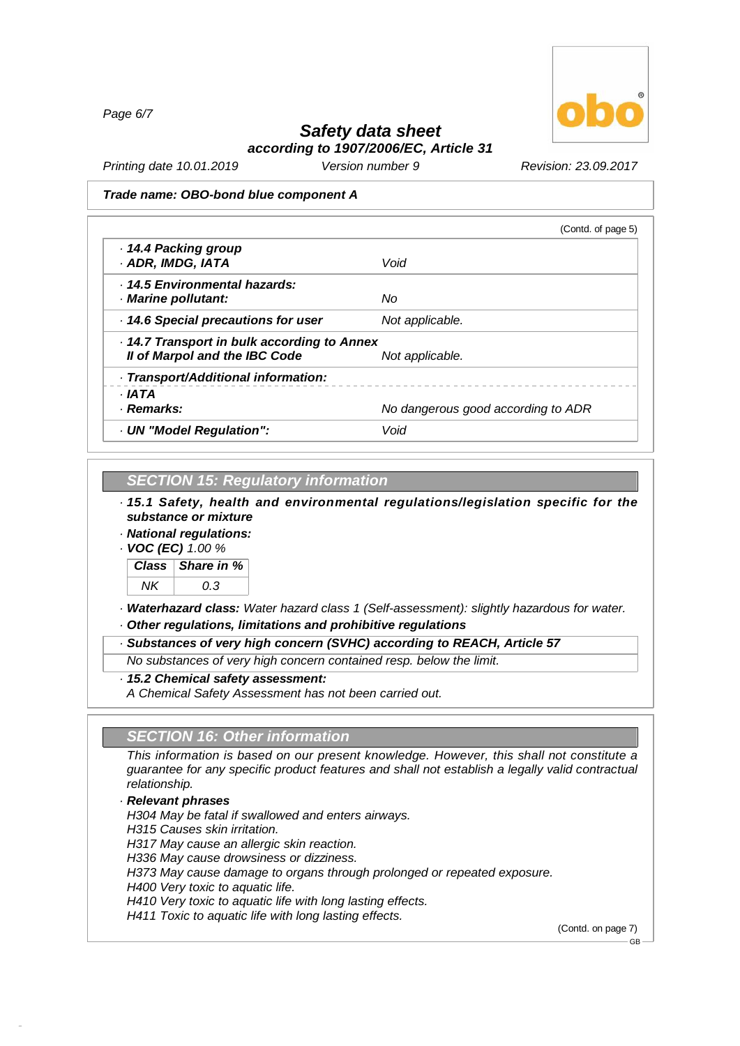*Page 6/7*



# *Safety data sheet according to 1907/2006/EC, Article 31*

*Printing date 10.01.2019 Version number 9 Revision: 23.09.2017*

#### *Trade name: OBO-bond blue component A*

|                                           | (Contd. of page 5)                 |
|-------------------------------------------|------------------------------------|
| ⋅ 14.4 Packing group                      |                                    |
| · ADR, IMDG, IATA                         | Void                               |
| . 14.5 Environmental hazards:             |                                    |
| Marine pollutant:                         | Nο                                 |
| 14.6 Special precautions for user         | Not applicable.                    |
| 14.7 Transport in bulk according to Annex |                                    |
| Il of Marpol and the IBC Code             | Not applicable.                    |
| · Transport/Additional information:       |                                    |
| · IATA                                    |                                    |
| · Remarks:                                | No dangerous good according to ADR |
| · UN "Model Regulation":                  | Void                               |

# *SECTION 15: Regulatory information*

*· 15.1 Safety, health and environmental regulations/legislation specific for the substance or mixture*

*· National regulations:*

*· VOC (EC) 1.00 %*



*· Waterhazard class: Water hazard class 1 (Self-assessment): slightly hazardous for water.*

*· Other regulations, limitations and prohibitive regulations*

*· Substances of very high concern (SVHC) according to REACH, Article 57*

*No substances of very high concern contained resp. below the limit.*

*· 15.2 Chemical safety assessment:*

*A Chemical Safety Assessment has not been carried out.*

# *SECTION 16: Other information*

*This information is based on our present knowledge. However, this shall not constitute a guarantee for any specific product features and shall not establish a legally valid contractual relationship.*

## *· Relevant phrases*

48.0.6

*H304 May be fatal if swallowed and enters airways. H315 Causes skin irritation. H317 May cause an allergic skin reaction. H336 May cause drowsiness or dizziness. H373 May cause damage to organs through prolonged or repeated exposure. H400 Very toxic to aquatic life. H410 Very toxic to aquatic life with long lasting effects. H411 Toxic to aquatic life with long lasting effects.*

(Contd. on page 7)

GB